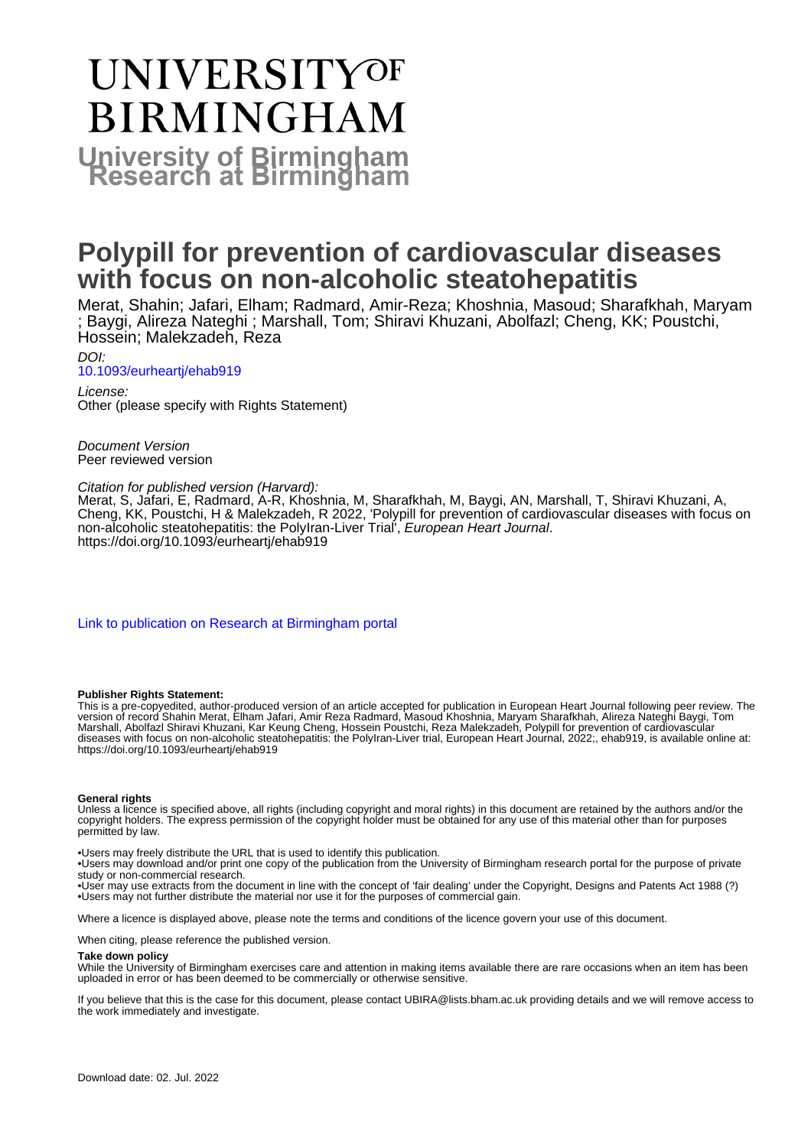# UNIVERSITYOF **BIRMINGHAM University of Birmingham**

## **Polypill for prevention of cardiovascular diseases with focus on non-alcoholic steatohepatitis**

Merat, Shahin; Jafari, Elham; Radmard, Amir-Reza; Khoshnia, Masoud; Sharafkhah, Maryam ; Baygi, Alireza Nateghi ; Marshall, Tom; Shiravi Khuzani, Abolfazl; Cheng, KK; Poustchi, Hossein; Malekzadeh, Reza

#### DOI: [10.1093/eurheartj/ehab919](https://doi.org/10.1093/eurheartj/ehab919)

License: Other (please specify with Rights Statement)

Document Version Peer reviewed version

#### Citation for published version (Harvard):

Merat, S, Jafari, E, Radmard, A-R, Khoshnia, M, Sharafkhah, M, Baygi, AN, Marshall, T, Shiravi Khuzani, A, Cheng, KK, Poustchi, H & Malekzadeh, R 2022, 'Polypill for prevention of cardiovascular diseases with focus on non-alcoholic steatohepatitis: the PolyIran-Liver Trial<sup>'</sup>, European Heart Journal. <https://doi.org/10.1093/eurheartj/ehab919>

[Link to publication on Research at Birmingham portal](https://birmingham.elsevierpure.com/en/publications/48d27f55-d25e-4639-97c9-535729b462f1)

#### **Publisher Rights Statement:**

This is a pre-copyedited, author-produced version of an article accepted for publication in European Heart Journal following peer review. The version of record Shahin Merat, Elham Jafari, Amir Reza Radmard, Masoud Khoshnia, Maryam Sharafkhah, Alireza Nateghi Baygi, Tom Marshall, Abolfazl Shiravi Khuzani, Kar Keung Cheng, Hossein Poustchi, Reza Malekzadeh, Polypill for prevention of cardiovascular diseases with focus on non-alcoholic steatohepatitis: the PolyIran-Liver trial, European Heart Journal, 2022;, ehab919, is available online at: https://doi.org/10.1093/eurheartj/ehab919

#### **General rights**

Unless a licence is specified above, all rights (including copyright and moral rights) in this document are retained by the authors and/or the copyright holders. The express permission of the copyright holder must be obtained for any use of this material other than for purposes permitted by law.

• Users may freely distribute the URL that is used to identify this publication.

• Users may download and/or print one copy of the publication from the University of Birmingham research portal for the purpose of private study or non-commercial research.

• User may use extracts from the document in line with the concept of 'fair dealing' under the Copyright, Designs and Patents Act 1988 (?)

• Users may not further distribute the material nor use it for the purposes of commercial gain.

Where a licence is displayed above, please note the terms and conditions of the licence govern your use of this document.

When citing, please reference the published version.

#### **Take down policy**

While the University of Birmingham exercises care and attention in making items available there are rare occasions when an item has been uploaded in error or has been deemed to be commercially or otherwise sensitive.

If you believe that this is the case for this document, please contact UBIRA@lists.bham.ac.uk providing details and we will remove access to the work immediately and investigate.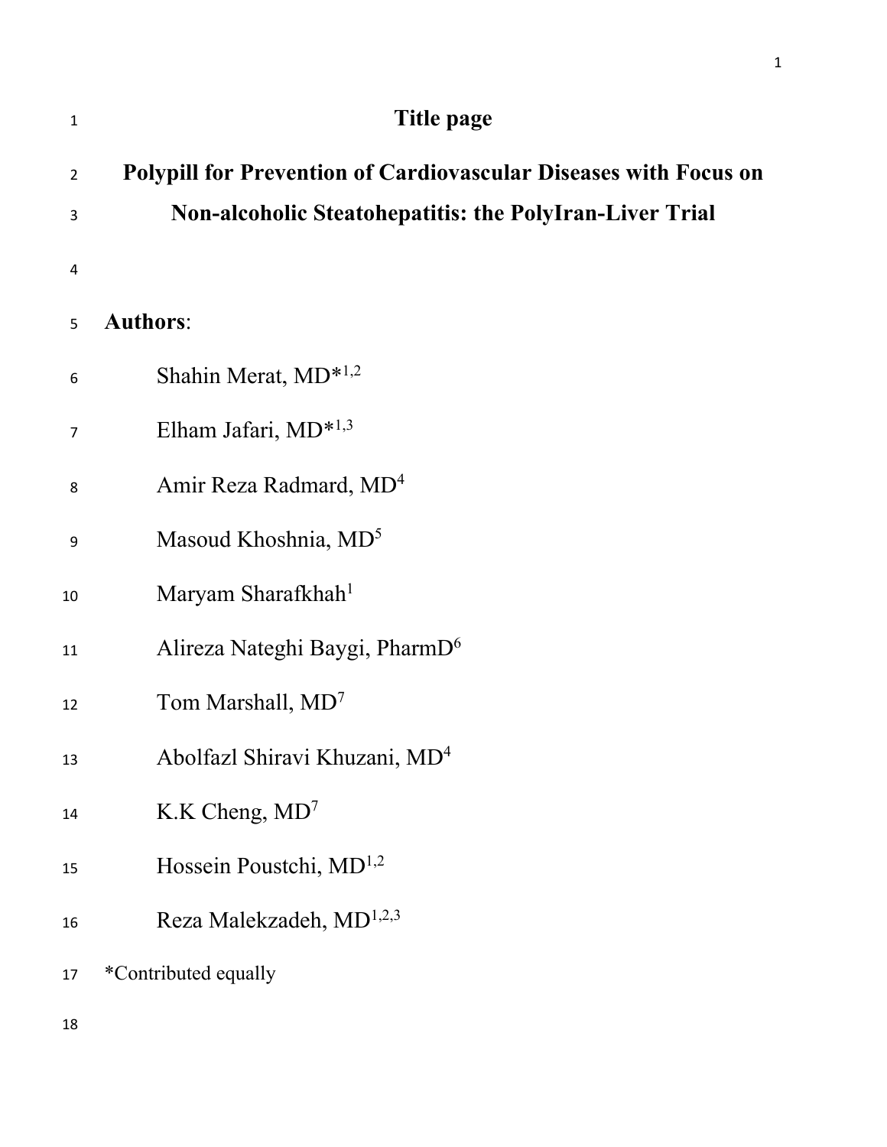| $\mathbf{1}$   | Title page                                                              |
|----------------|-------------------------------------------------------------------------|
| $\overline{2}$ | <b>Polypill for Prevention of Cardiovascular Diseases with Focus on</b> |
| 3              | <b>Non-alcoholic Steatohepatitis: the PolyIran-Liver Trial</b>          |
| $\overline{4}$ |                                                                         |
| 5              | <b>Authors:</b>                                                         |
| 6              | Shahin Merat, MD <sup>*1,2</sup>                                        |
| 7              | Elham Jafari, MD* <sup>1,3</sup>                                        |
| 8              | Amir Reza Radmard, MD <sup>4</sup>                                      |
| 9              | Masoud Khoshnia, MD <sup>5</sup>                                        |
| 10             | Maryam Sharafkhah <sup>1</sup>                                          |
| 11             | Alireza Nateghi Baygi, PharmD <sup>6</sup>                              |
| 12             | Tom Marshall, MD <sup>7</sup>                                           |
| 13             | Abolfazl Shiravi Khuzani, MD <sup>4</sup>                               |
| 14             | K.K Cheng, $MD7$                                                        |
| 15             | Hossein Poustchi, MD <sup>1,2</sup>                                     |
| 16             | Reza Malekzadeh, MD <sup>1,2,3</sup>                                    |
| 17             | *Contributed equally                                                    |
|                |                                                                         |

1

18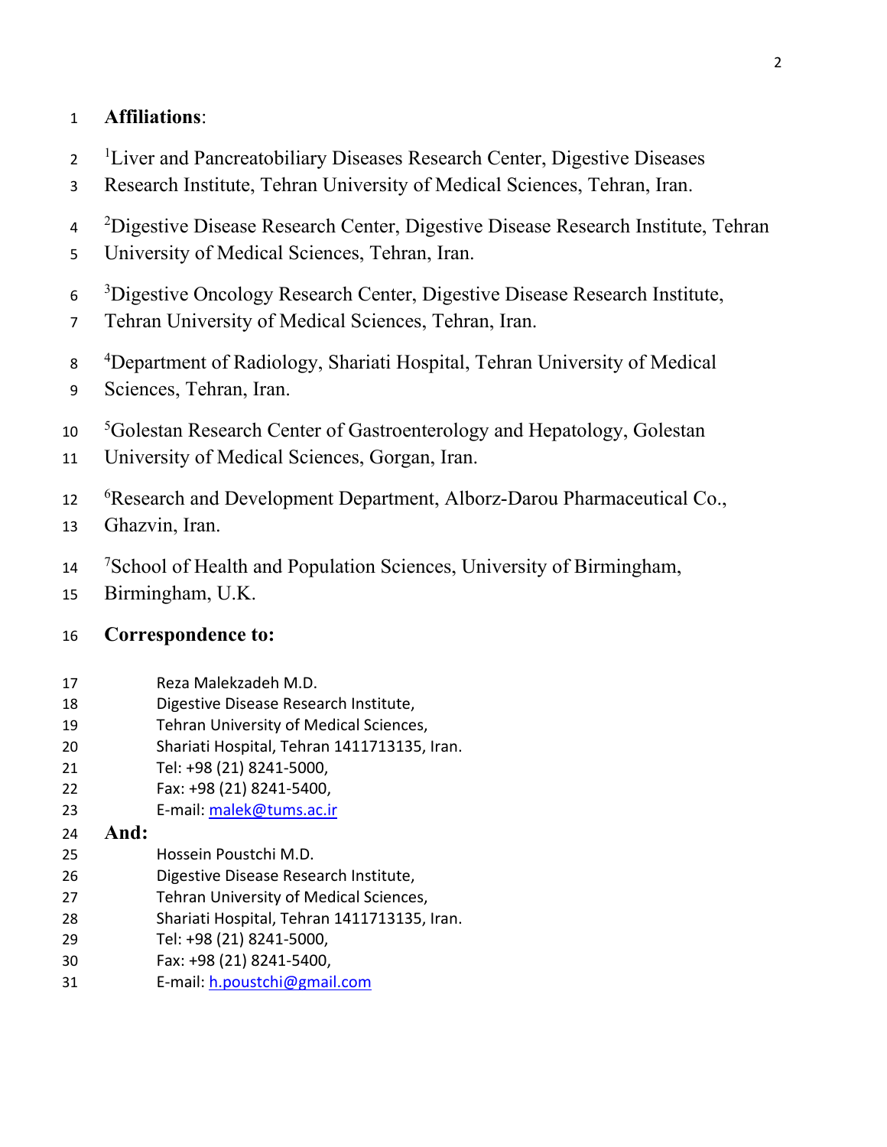## **Affiliations**:

- <sup>1</sup> Liver and Pancreatobiliary Diseases Research Center, Digestive Diseases
- Research Institute, Tehran University of Medical Sciences, Tehran, Iran.
- <sup>2</sup> Digestive Disease Research Center, Digestive Disease Research Institute, Tehran
- University of Medical Sciences, Tehran, Iran.
- <sup>3</sup>Digestive Oncology Research Center, Digestive Disease Research Institute,
- Tehran University of Medical Sciences, Tehran, Iran.
- 8 <sup>4</sup>Department of Radiology, Shariati Hospital, Tehran University of Medical
- Sciences, Tehran, Iran.
- $10<sup>1</sup>$ Golestan Research Center of Gastroenterology and Hepatology, Golestan
- University of Medical Sciences, Gorgan, Iran.
- <sup>6</sup> Research and Development Department, Alborz-Darou Pharmaceutical Co.,
- Ghazvin, Iran.
- <sup>7</sup> 14 <sup>7</sup> School of Health and Population Sciences, University of Birmingham,
- Birmingham, U.K.

## **Correspondence to:**

- Reza Malekzadeh M.D.
- Digestive Disease Research Institute,
- Tehran University of Medical Sciences,
- Shariati Hospital, Tehran 1411713135, Iran.
- Tel: +98 (21) 8241-5000,
- Fax: +98 (21) 8241-5400,
- E-mail: [malek@tums.ac.ir](mailto:malek@tums.ac.ir)
- **And:**
- Hossein Poustchi M.D.
- Digestive Disease Research Institute,
- Tehran University of Medical Sciences,
- Shariati Hospital, Tehran 1411713135, Iran.
- Tel: +98 (21) 8241-5000,
- Fax: +98 (21) 8241-5400,
- E-mail: [h.poustchi@gmail.com](mailto:h.poustchi@gmail.com)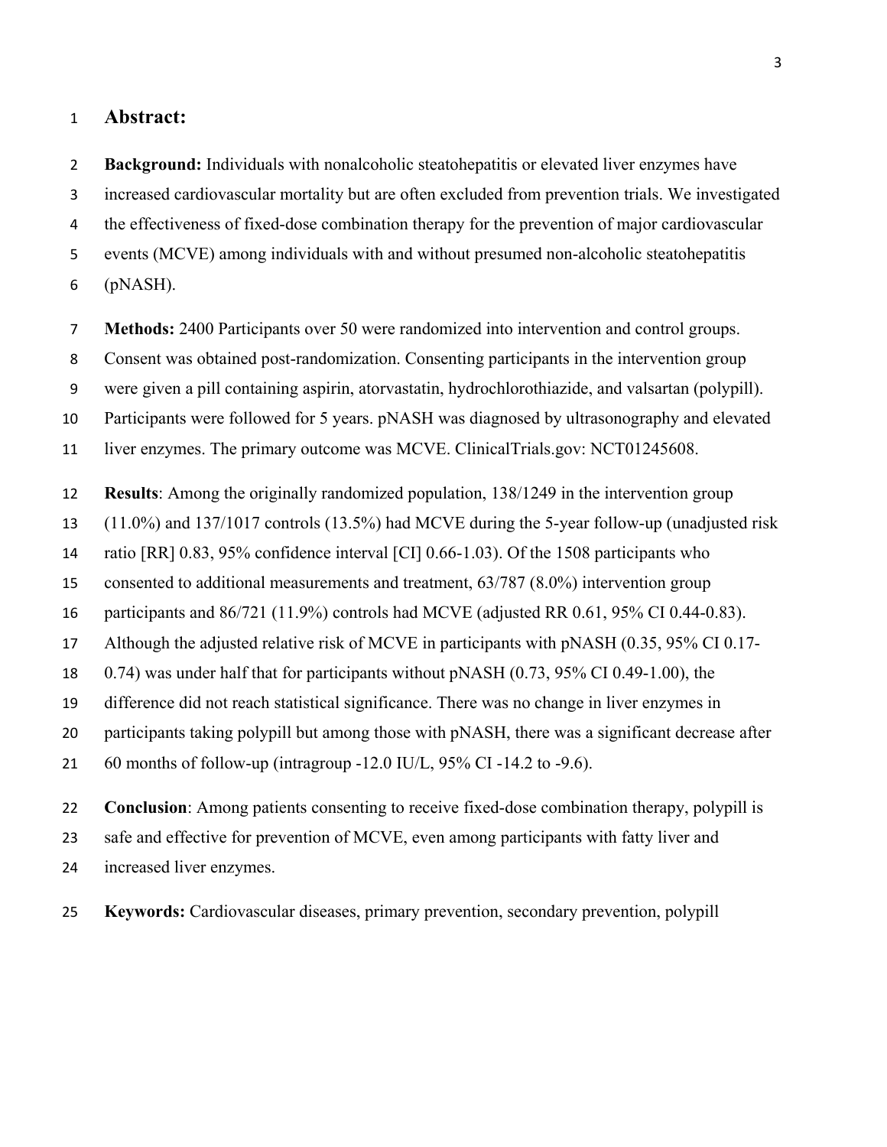#### **Abstract:**

 **Background:** Individuals with nonalcoholic steatohepatitis or elevated liver enzymes have increased cardiovascular mortality but are often excluded from prevention trials. We investigated the effectiveness of fixed-dose combination therapy for the prevention of major cardiovascular events (MCVE) among individuals with and without presumed non-alcoholic steatohepatitis (pNASH).

**Methods:** 2400 Participants over 50 were randomized into intervention and control groups.

Consent was obtained post-randomization. Consenting participants in the intervention group

were given a pill containing aspirin, atorvastatin, hydrochlorothiazide, and valsartan (polypill).

Participants were followed for 5 years. pNASH was diagnosed by ultrasonography and elevated

liver enzymes. The primary outcome was MCVE. ClinicalTrials.gov: NCT01245608.

**Results**: Among the originally randomized population, 138/1249 in the intervention group

(11.0%) and 137/1017 controls (13.5%) had MCVE during the 5-year follow-up (unadjusted risk

ratio [RR] 0.83, 95% confidence interval [CI] 0.66-1.03). Of the 1508 participants who

consented to additional measurements and treatment, 63/787 (8.0%) intervention group

participants and 86/721 (11.9%) controls had MCVE (adjusted RR 0.61, 95% CI 0.44-0.83).

Although the adjusted relative risk of MCVE in participants with pNASH (0.35, 95% CI 0.17-

0.74) was under half that for participants without pNASH (0.73, 95% CI 0.49-1.00), the

difference did not reach statistical significance. There was no change in liver enzymes in

20 participants taking polypill but among those with pNASH, there was a significant decrease after

60 months of follow-up (intragroup -12.0 IU/L, 95% CI -14.2 to -9.6).

 **Conclusion**: Among patients consenting to receive fixed-dose combination therapy, polypill is safe and effective for prevention of MCVE, even among participants with fatty liver and increased liver enzymes.

**Keywords:** Cardiovascular diseases, primary prevention, secondary prevention, polypill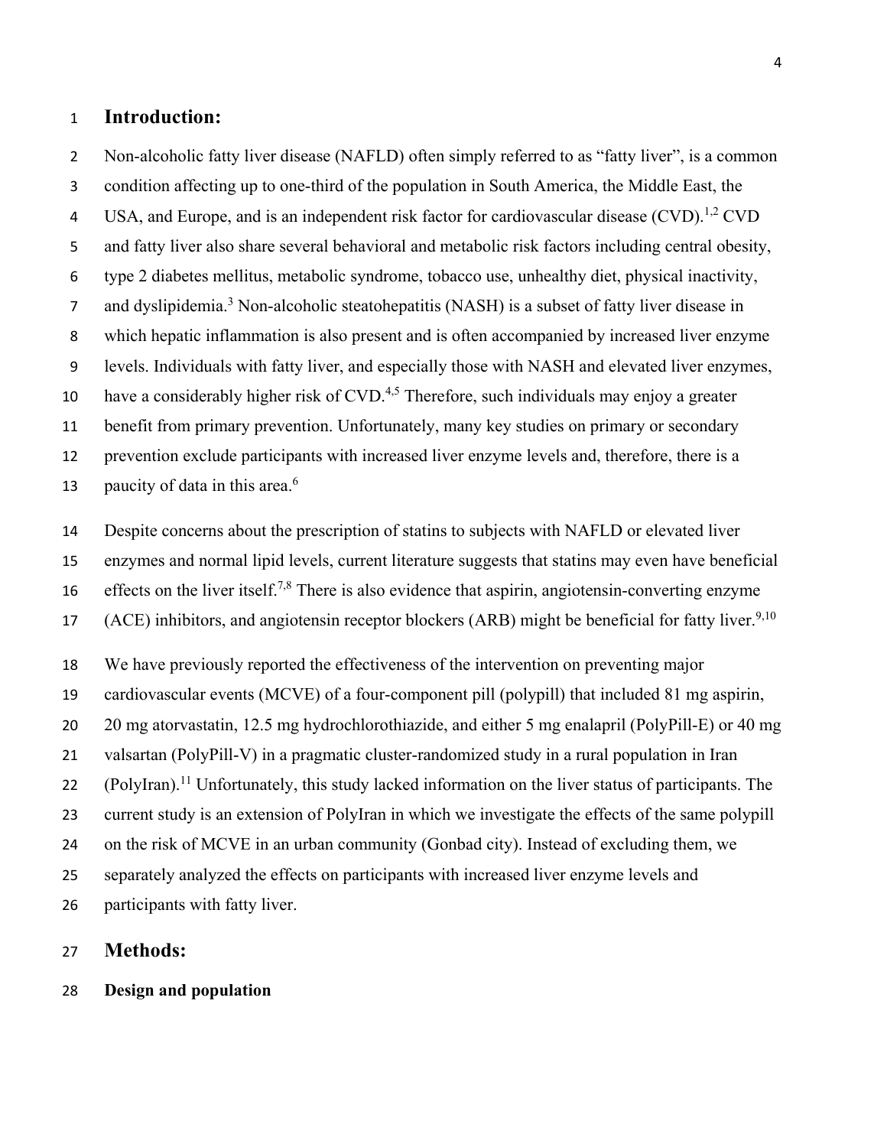#### **Introduction:**

 Non-alcoholic fatty liver disease (NAFLD) often simply referred to as "fatty liver", is a common condition affecting up to one-third of the population in South America, the Middle East, the 4 USA, and Europe, and is an independent risk factor for cardiovascular disease (CVD).<sup>1,2</sup> CVD and fatty liver also share several behavioral and metabolic risk factors including central obesity, type 2 diabetes mellitus, metabolic syndrome, tobacco use, unhealthy diet, physical inactivity, 7 and dyslipidemia.<sup>3</sup> Non-alcoholic steatohepatitis (NASH) is a subset of fatty liver disease in which hepatic inflammation is also present and is often accompanied by increased liver enzyme levels. Individuals with fatty liver, and especially those with NASH and elevated liver enzymes, 10 have a considerably higher risk of CVD.<sup>4,5</sup> Therefore, such individuals may enjoy a greater benefit from primary prevention. Unfortunately, many key studies on primary or secondary prevention exclude participants with increased liver enzyme levels and, therefore, there is a 13 paucity of data in this area.<sup>6</sup>

 Despite concerns about the prescription of statins to subjects with NAFLD or elevated liver enzymes and normal lipid levels, current literature suggests that statins may even have beneficial 16 effects on the liver itself.<sup>7,8</sup> There is also evidence that aspirin, angiotensin-converting enzyme 17 (ACE) inhibitors, and angiotensin receptor blockers (ARB) might be beneficial for fatty liver.<sup>9,10</sup>

We have previously reported the effectiveness of the intervention on preventing major

cardiovascular events (MCVE) of a four-component pill (polypill) that included 81 mg aspirin,

20 mg atorvastatin, 12.5 mg hydrochlorothiazide, and either 5 mg enalapril (PolyPill-E) or 40 mg

valsartan (PolyPill-V) in a pragmatic cluster-randomized study in a rural population in Iran

22 (PolyIran).<sup>11</sup> Unfortunately, this study lacked information on the liver status of participants. The

current study is an extension of PolyIran in which we investigate the effects of the same polypill

on the risk of MCVE in an urban community (Gonbad city). Instead of excluding them, we

separately analyzed the effects on participants with increased liver enzyme levels and

participants with fatty liver.

#### **Methods:**

#### **Design and population**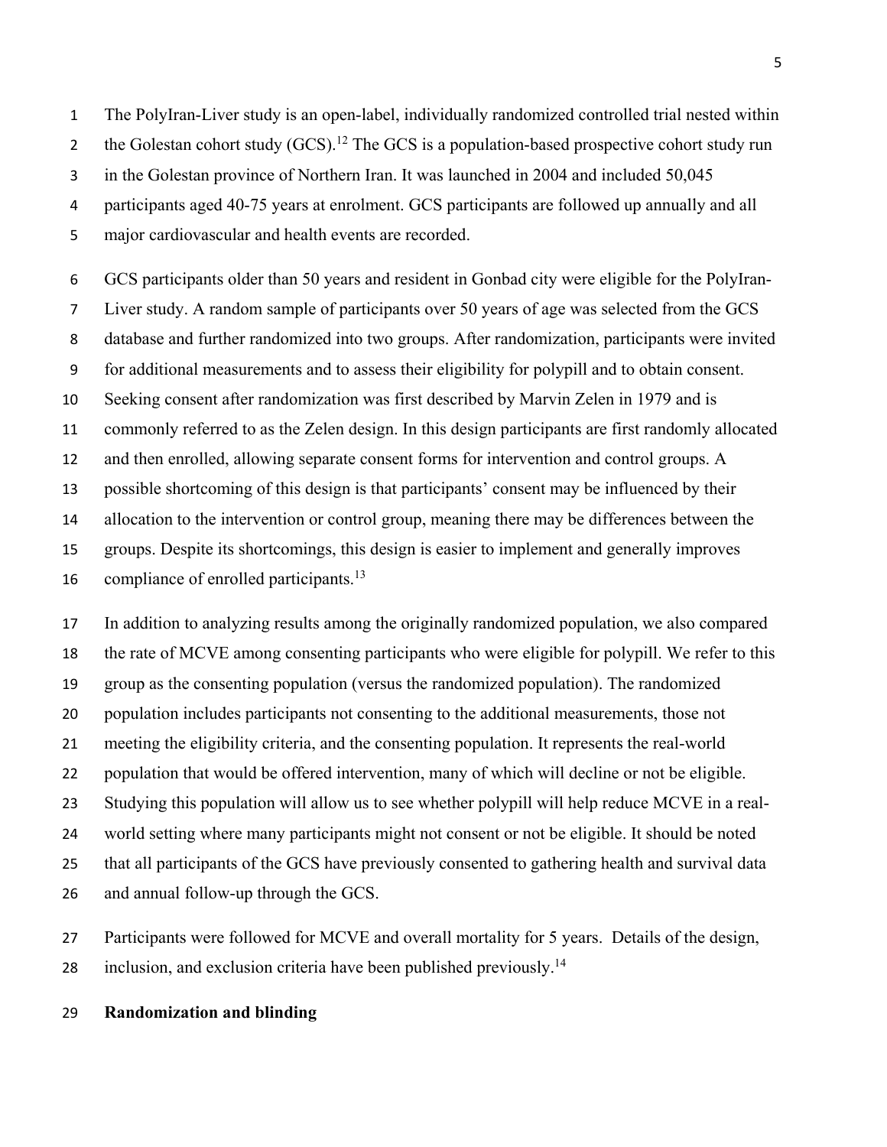The PolyIran-Liver study is an open-label, individually randomized controlled trial nested within 2 the Golestan cohort study  $(GCS)$ .<sup>12</sup> The GCS is a population-based prospective cohort study run 3 in the Golestan province of Northern Iran. It was launched in 2004 and included 50,045 participants aged 40-75 years at enrolment. GCS participants are followed up annually and all major cardiovascular and health events are recorded.

 GCS participants older than 50 years and resident in Gonbad city were eligible for the PolyIran- Liver study. A random sample of participants over 50 years of age was selected from the GCS database and further randomized into two groups. After randomization, participants were invited for additional measurements and to assess their eligibility for polypill and to obtain consent. Seeking consent after randomization was first described by Marvin Zelen in 1979 and is commonly referred to as the Zelen design. In this design participants are first randomly allocated and then enrolled, allowing separate consent forms for intervention and control groups. A possible shortcoming of this design is that participants' consent may be influenced by their allocation to the intervention or control group, meaning there may be differences between the groups. Despite its shortcomings, this design is easier to implement and generally improves 16 compliance of enrolled participants.<sup>13</sup>

 In addition to analyzing results among the originally randomized population, we also compared the rate of MCVE among consenting participants who were eligible for polypill. We refer to this group as the consenting population (versus the randomized population). The randomized population includes participants not consenting to the additional measurements, those not meeting the eligibility criteria, and the consenting population. It represents the real-world population that would be offered intervention, many of which will decline or not be eligible. Studying this population will allow us to see whether polypill will help reduce MCVE in a real- world setting where many participants might not consent or not be eligible. It should be noted that all participants of the GCS have previously consented to gathering health and survival data and annual follow-up through the GCS.

 Participants were followed for MCVE and overall mortality for 5 years. Details of the design, 28 inclusion, and exclusion criteria have been published previously.<sup>14</sup>

#### **Randomization and blinding**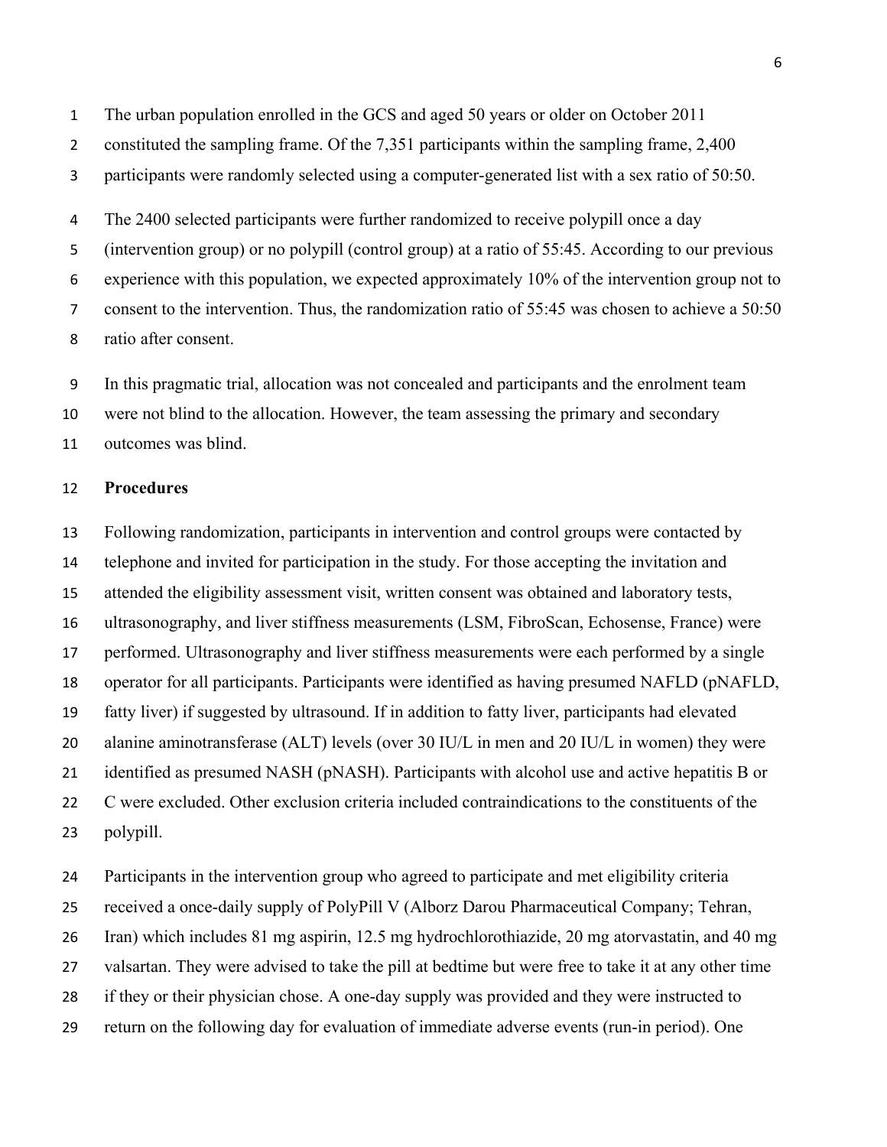The urban population enrolled in the GCS and aged 50 years or older on October 2011

- 2 constituted the sampling frame. Of the 7,351 participants within the sampling frame, 2,400
- 3 participants were randomly selected using a computer-generated list with a sex ratio of 50:50.

 The 2400 selected participants were further randomized to receive polypill once a day (intervention group) or no polypill (control group) at a ratio of 55:45. According to our previous experience with this population, we expected approximately 10% of the intervention group not to consent to the intervention. Thus, the randomization ratio of 55:45 was chosen to achieve a 50:50 ratio after consent.

In this pragmatic trial, allocation was not concealed and participants and the enrolment team

were not blind to the allocation. However, the team assessing the primary and secondary

outcomes was blind.

#### **Procedures**

 Following randomization, participants in intervention and control groups were contacted by telephone and invited for participation in the study. For those accepting the invitation and attended the eligibility assessment visit, written consent was obtained and laboratory tests, ultrasonography, and liver stiffness measurements (LSM, FibroScan, Echosense, France) were performed. Ultrasonography and liver stiffness measurements were each performed by a single operator for all participants. Participants were identified as having presumed NAFLD (pNAFLD, fatty liver) if suggested by ultrasound. If in addition to fatty liver, participants had elevated alanine aminotransferase (ALT) levels (over 30 IU/L in men and 20 IU/L in women) they were identified as presumed NASH (pNASH). Participants with alcohol use and active hepatitis B or C were excluded. Other exclusion criteria included contraindications to the constituents of the polypill.

 Participants in the intervention group who agreed to participate and met eligibility criteria received a once-daily supply of PolyPill V (Alborz Darou Pharmaceutical Company; Tehran, Iran) which includes 81 mg aspirin, 12.5 mg hydrochlorothiazide, 20 mg atorvastatin, and 40 mg valsartan. They were advised to take the pill at bedtime but were free to take it at any other time if they or their physician chose. A one-day supply was provided and they were instructed to return on the following day for evaluation of immediate adverse events (run-in period). One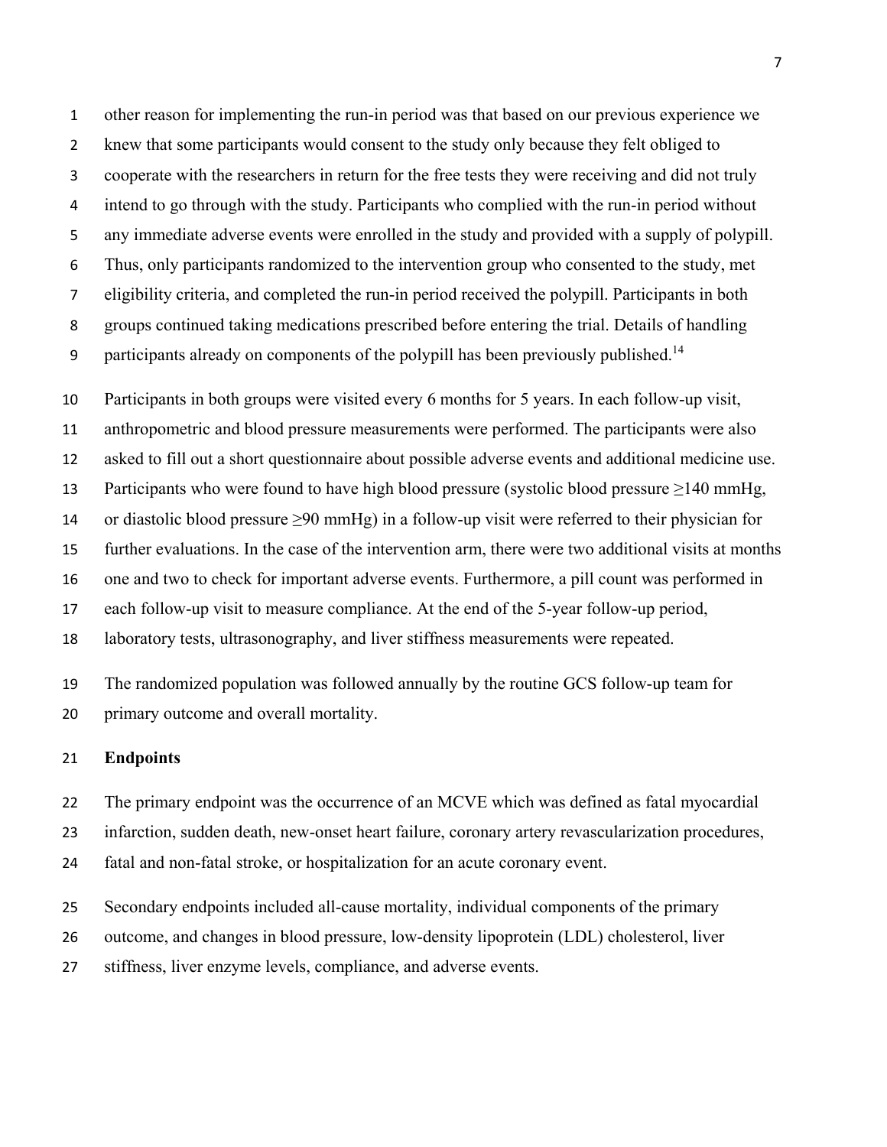other reason for implementing the run-in period was that based on our previous experience we knew that some participants would consent to the study only because they felt obliged to cooperate with the researchers in return for the free tests they were receiving and did not truly intend to go through with the study. Participants who complied with the run-in period without any immediate adverse events were enrolled in the study and provided with a supply of polypill. Thus, only participants randomized to the intervention group who consented to the study, met eligibility criteria, and completed the run-in period received the polypill. Participants in both groups continued taking medications prescribed before entering the trial. Details of handling 9 participants already on components of the polypill has been previously published.<sup>14</sup>

 Participants in both groups were visited every 6 months for 5 years. In each follow-up visit, anthropometric and blood pressure measurements were performed. The participants were also asked to fill out a short questionnaire about possible adverse events and additional medicine use. Participants who were found to have high blood pressure (systolic blood pressure ≥140 mmHg, 14 or diastolic blood pressure  $\geq 90 \text{ mmHg}$ ) in a follow-up visit were referred to their physician for further evaluations. In the case of the intervention arm, there were two additional visits at months one and two to check for important adverse events. Furthermore, a pill count was performed in each follow-up visit to measure compliance. At the end of the 5-year follow-up period, laboratory tests, ultrasonography, and liver stiffness measurements were repeated.

 The randomized population was followed annually by the routine GCS follow-up team for primary outcome and overall mortality.

#### **Endpoints**

 The primary endpoint was the occurrence of an MCVE which was defined as fatal myocardial infarction, sudden death, new-onset heart failure, coronary artery revascularization procedures,

fatal and non-fatal stroke, or hospitalization for an acute coronary event.

Secondary endpoints included all-cause mortality, individual components of the primary

outcome, and changes in blood pressure, low-density lipoprotein (LDL) cholesterol, liver

stiffness, liver enzyme levels, compliance, and adverse events.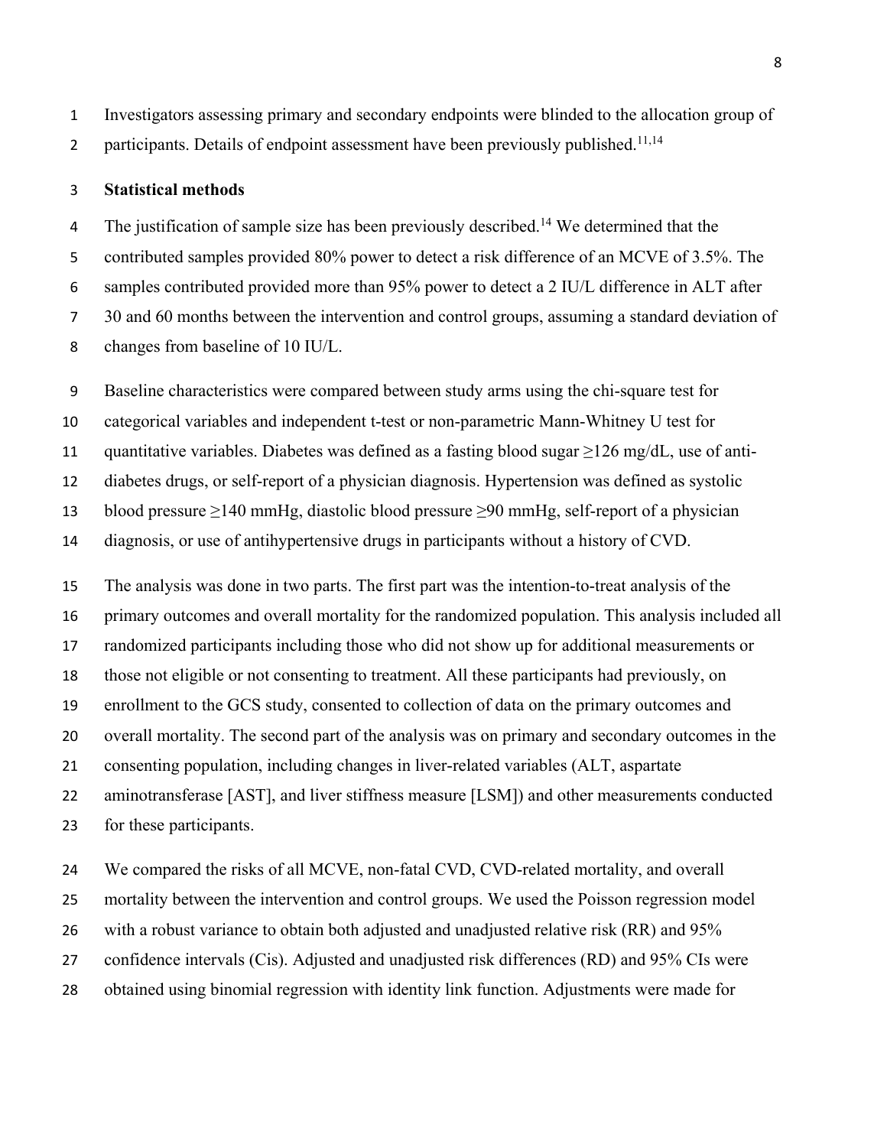Investigators assessing primary and secondary endpoints were blinded to the allocation group of 2 participants. Details of endpoint assessment have been previously published.<sup>11,14</sup>

#### **Statistical methods**

4 The justification of sample size has been previously described.<sup>14</sup> We determined that the contributed samples provided 80% power to detect a risk difference of an MCVE of 3.5%. The samples contributed provided more than 95% power to detect a 2 IU/L difference in ALT after 30 and 60 months between the intervention and control groups, assuming a standard deviation of changes from baseline of 10 IU/L.

Baseline characteristics were compared between study arms using the chi-square test for

categorical variables and independent t-test or non-parametric Mann-Whitney U test for

quantitative variables. Diabetes was defined as a fasting blood sugar ≥126 mg/dL, use of anti-

diabetes drugs, or self-report of a physician diagnosis. Hypertension was defined as systolic

blood pressure ≥140 mmHg, diastolic blood pressure ≥90 mmHg, self-report of a physician

diagnosis, or use of antihypertensive drugs in participants without a history of CVD.

 The analysis was done in two parts. The first part was the intention-to-treat analysis of the primary outcomes and overall mortality for the randomized population. This analysis included all randomized participants including those who did not show up for additional measurements or those not eligible or not consenting to treatment. All these participants had previously, on enrollment to the GCS study, consented to collection of data on the primary outcomes and overall mortality. The second part of the analysis was on primary and secondary outcomes in the consenting population, including changes in liver-related variables (ALT, aspartate aminotransferase [AST], and liver stiffness measure [LSM]) and other measurements conducted for these participants.

 We compared the risks of all MCVE, non-fatal CVD, CVD-related mortality, and overall mortality between the intervention and control groups. We used the Poisson regression model with a robust variance to obtain both adjusted and unadjusted relative risk (RR) and 95% confidence intervals (Cis). Adjusted and unadjusted risk differences (RD) and 95% CIs were obtained using binomial regression with identity link function. Adjustments were made for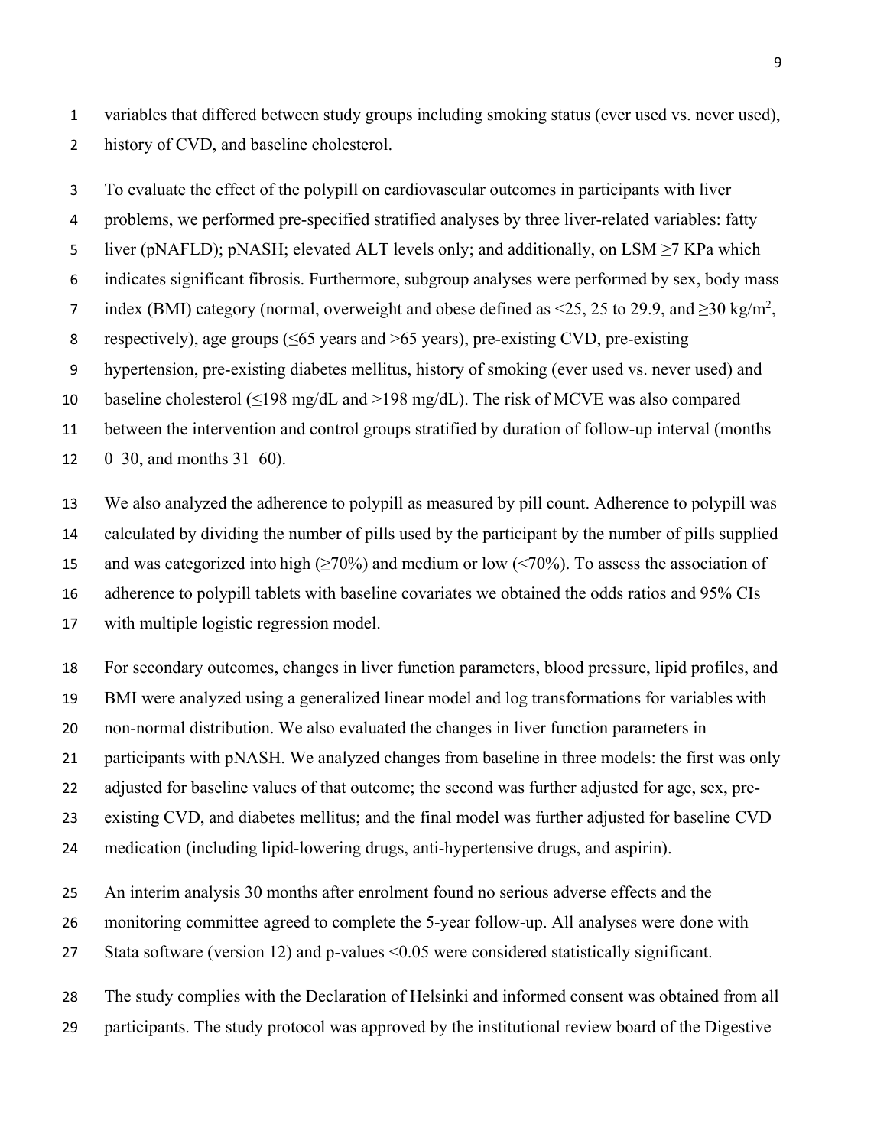variables that differed between study groups including smoking status (ever used vs. never used), 2 history of CVD, and baseline cholesterol.

 To evaluate the effect of the polypill on cardiovascular outcomes in participants with liver problems, we performed pre-specified stratified analyses by three liver-related variables: fatty 5 liver (pNAFLD); pNASH; elevated ALT levels only; and additionally, on LSM  $\geq$ 7 KPa which indicates significant fibrosis. Furthermore, subgroup analyses were performed by sex, body mass 7 index (BMI) category (normal, overweight and obese defined as <25, 25 to 29.9, and  $\geq$ 30 kg/m<sup>2</sup>, respectively), age groups (≤65 years and >65 years), pre-existing CVD, pre-existing hypertension, pre-existing diabetes mellitus, history of smoking (ever used vs. never used) and 10 baseline cholesterol ( $\leq$ 198 mg/dL and >198 mg/dL). The risk of MCVE was also compared between the intervention and control groups stratified by duration of follow-up interval (months  $0-30$ , and months 31–60).

 We also analyzed the adherence to polypill as measured by pill count. Adherence to polypill was calculated by dividing the number of pills used by the participant by the number of pills supplied 15 and was categorized into high  $(\geq 70\%)$  and medium or low (<70%). To assess the association of adherence to polypill tablets with baseline covariates we obtained the odds ratios and 95% CIs with multiple logistic regression model.

 For secondary outcomes, changes in liver function parameters, blood pressure, lipid profiles, and BMI were analyzed using a generalized linear model and log transformations for variables with non-normal distribution. We also evaluated the changes in liver function parameters in participants with pNASH. We analyzed changes from baseline in three models: the first was only adjusted for baseline values of that outcome; the second was further adjusted for age, sex, pre- existing CVD, and diabetes mellitus; and the final model was further adjusted for baseline CVD medication (including lipid-lowering drugs, anti-hypertensive drugs, and aspirin).

An interim analysis 30 months after enrolment found no serious adverse effects and the

monitoring committee agreed to complete the 5-year follow-up. All analyses were done with

Stata software (version 12) and p-values <0.05 were considered statistically significant.

 The study complies with the Declaration of Helsinki and informed consent was obtained from all participants. The study protocol was approved by the institutional review board of the Digestive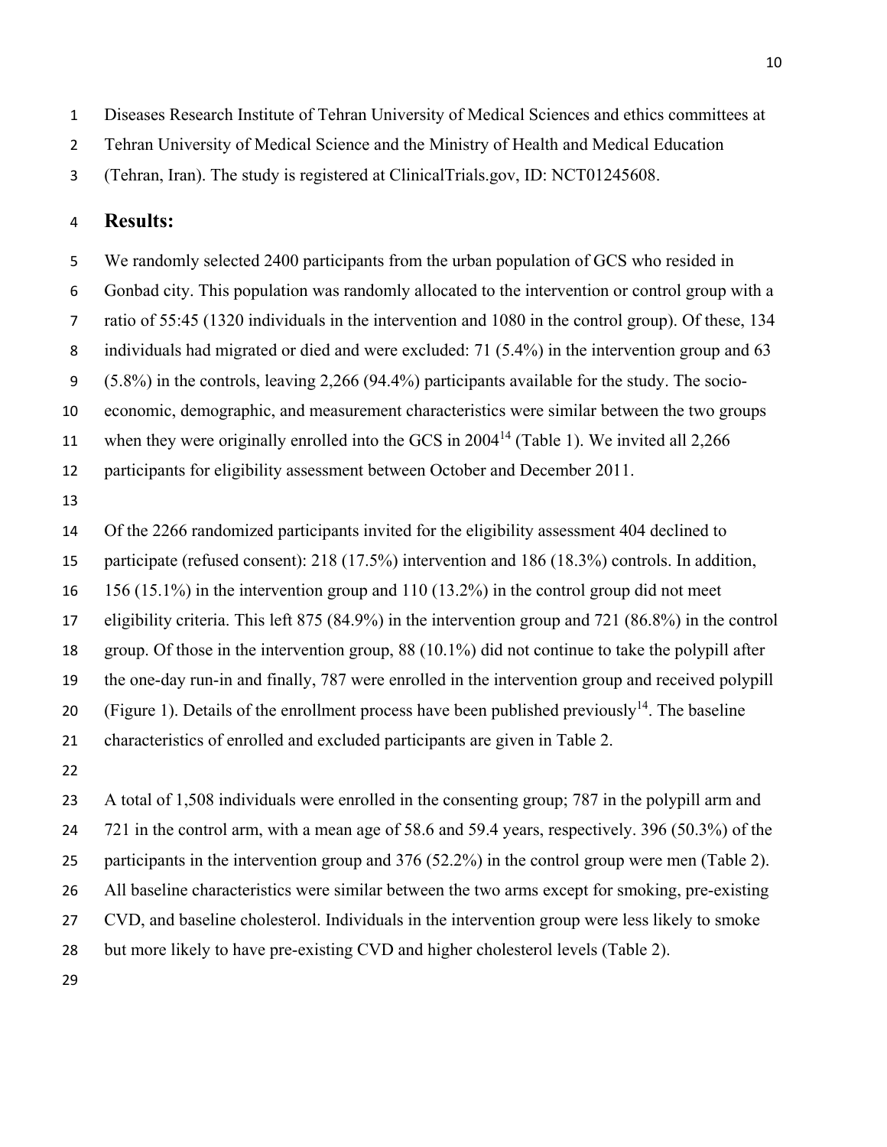Diseases Research Institute of Tehran University of Medical Sciences and ethics committees at

Tehran University of Medical Science and the Ministry of Health and Medical Education

(Tehran, Iran). The study is registered at ClinicalTrials.gov, ID: NCT01245608.

#### **Results:**

 We randomly selected 2400 participants from the urban population of GCS who resided in Gonbad city. This population was randomly allocated to the intervention or control group with a ratio of 55:45 (1320 individuals in the intervention and 1080 in the control group). Of these, 134 8 individuals had migrated or died and were excluded: 71 (5.4%) in the intervention group and 63 (5.8%) in the controls, leaving 2,266 (94.4%) participants available for the study. The socio- economic, demographic, and measurement characteristics were similar between the two groups 11 when they were originally enrolled into the GCS in  $2004<sup>14</sup>$  (Table 1). We invited all 2,266 participants for eligibility assessment between October and December 2011. 

Of the 2266 randomized participants invited for the eligibility assessment 404 declined to

participate (refused consent): 218 (17.5%) intervention and 186 (18.3%) controls. In addition,

156 (15.1%) in the intervention group and 110 (13.2%) in the control group did not meet

eligibility criteria. This left 875 (84.9%) in the intervention group and 721 (86.8%) in the control

group. Of those in the intervention group, 88 (10.1%) did not continue to take the polypill after

the one-day run-in and finally, 787 were enrolled in the intervention group and received polypill

20 (Figure 1). Details of the enrollment process have been published previously<sup>14</sup>. The baseline

characteristics of enrolled and excluded participants are given in Table 2.

 A total of 1,508 individuals were enrolled in the consenting group; 787 in the polypill arm and 721 in the control arm, with a mean age of 58.6 and 59.4 years, respectively. 396 (50.3%) of the participants in the intervention group and 376 (52.2%) in the control group were men (Table 2). All baseline characteristics were similar between the two arms except for smoking, pre-existing CVD, and baseline cholesterol. Individuals in the intervention group were less likely to smoke but more likely to have pre-existing CVD and higher cholesterol levels (Table 2).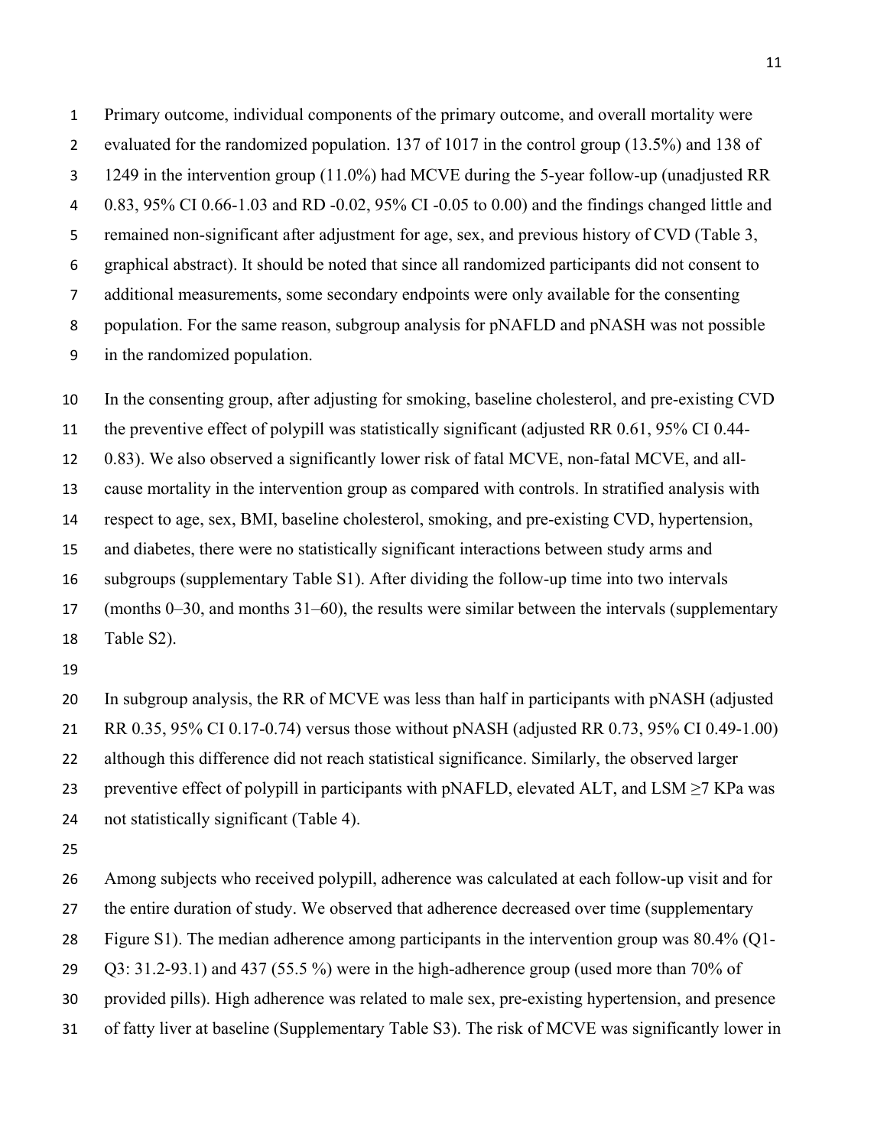Primary outcome, individual components of the primary outcome, and overall mortality were evaluated for the randomized population. 137 of 1017 in the control group (13.5%) and 138 of 1249 in the intervention group (11.0%) had MCVE during the 5-year follow-up (unadjusted RR 0.83, 95% CI 0.66-1.03 and RD -0.02, 95% CI -0.05 to 0.00) and the findings changed little and remained non-significant after adjustment for age, sex, and previous history of CVD (Table 3, graphical abstract). It should be noted that since all randomized participants did not consent to additional measurements, some secondary endpoints were only available for the consenting population. For the same reason, subgroup analysis for pNAFLD and pNASH was not possible in the randomized population.

 In the consenting group, after adjusting for smoking, baseline cholesterol, and pre-existing CVD the preventive effect of polypill was statistically significant (adjusted RR 0.61, 95% CI 0.44- 0.83). We also observed a significantly lower risk of fatal MCVE, non-fatal MCVE, and all- cause mortality in the intervention group as compared with controls. In stratified analysis with respect to age, sex, BMI, baseline cholesterol, smoking, and pre-existing CVD, hypertension, and diabetes, there were no statistically significant interactions between study arms and subgroups (supplementary Table S1). After dividing the follow-up time into two intervals (months 0–30, and months 31–60), the results were similar between the intervals (supplementary Table S2).

 In subgroup analysis, the RR of MCVE was less than half in participants with pNASH (adjusted RR 0.35, 95% CI 0.17-0.74) versus those without pNASH (adjusted RR 0.73, 95% CI 0.49-1.00) although this difference did not reach statistical significance. Similarly, the observed larger 23 preventive effect of polypill in participants with pNAFLD, elevated ALT, and LSM  $\geq$ 7 KPa was 24 not statistically significant (Table 4).

 Among subjects who received polypill, adherence was calculated at each follow-up visit and for 27 the entire duration of study. We observed that adherence decreased over time (supplementary Figure S1). The median adherence among participants in the intervention group was 80.4% (Q1- Q3: 31.2-93.1) and 437 (55.5 %) were in the high-adherence group (used more than 70% of provided pills). High adherence was related to male sex, pre-existing hypertension, and presence of fatty liver at baseline (Supplementary Table S3). The risk of MCVE was significantly lower in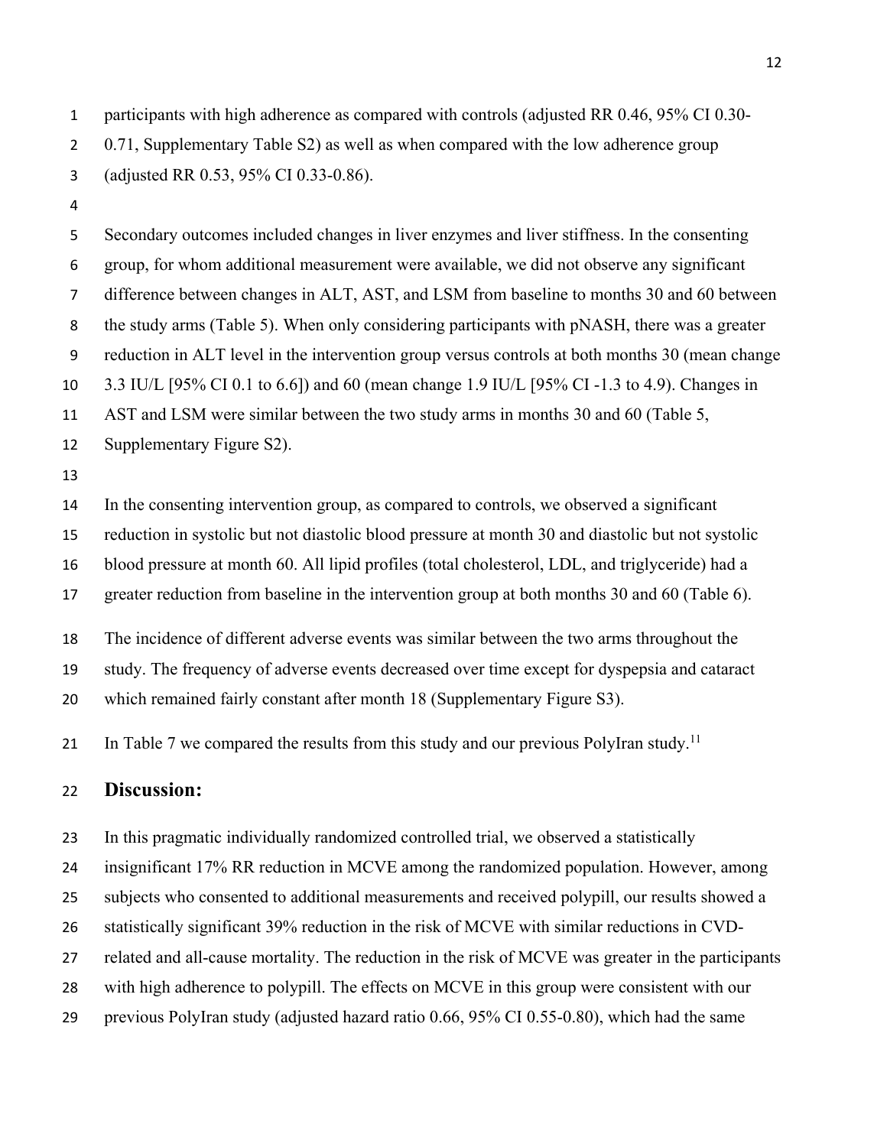participants with high adherence as compared with controls (adjusted RR 0.46, 95% CI 0.30- 0.71, Supplementary Table S2) as well as when compared with the low adherence group (adjusted RR 0.53, 95% CI 0.33-0.86).

 Secondary outcomes included changes in liver enzymes and liver stiffness. In the consenting group, for whom additional measurement were available, we did not observe any significant difference between changes in ALT, AST, and LSM from baseline to months 30 and 60 between the study arms (Table 5). When only considering participants with pNASH, there was a greater reduction in ALT level in the intervention group versus controls at both months 30 (mean change 3.3 IU/L [95% CI 0.1 to 6.6]) and 60 (mean change 1.9 IU/L [95% CI -1.3 to 4.9). Changes in

AST and LSM were similar between the two study arms in months 30 and 60 (Table 5,

- Supplementary Figure S2).
- 

 In the consenting intervention group, as compared to controls, we observed a significant reduction in systolic but not diastolic blood pressure at month 30 and diastolic but not systolic blood pressure at month 60. All lipid profiles (total cholesterol, LDL, and triglyceride) had a

17 greater reduction from baseline in the intervention group at both months 30 and 60 (Table 6).

The incidence of different adverse events was similar between the two arms throughout the

study. The frequency of adverse events decreased over time except for dyspepsia and cataract

which remained fairly constant after month 18 (Supplementary Figure S3).

21 In Table 7 we compared the results from this study and our previous PolyIran study.<sup>11</sup>

### **Discussion:**

In this pragmatic individually randomized controlled trial, we observed a statistically

insignificant 17% RR reduction in MCVE among the randomized population. However, among

subjects who consented to additional measurements and received polypill, our results showed a

statistically significant 39% reduction in the risk of MCVE with similar reductions in CVD-

related and all-cause mortality. The reduction in the risk of MCVE was greater in the participants

28 with high adherence to polypill. The effects on MCVE in this group were consistent with our

previous PolyIran study (adjusted hazard ratio 0.66, 95% CI 0.55-0.80), which had the same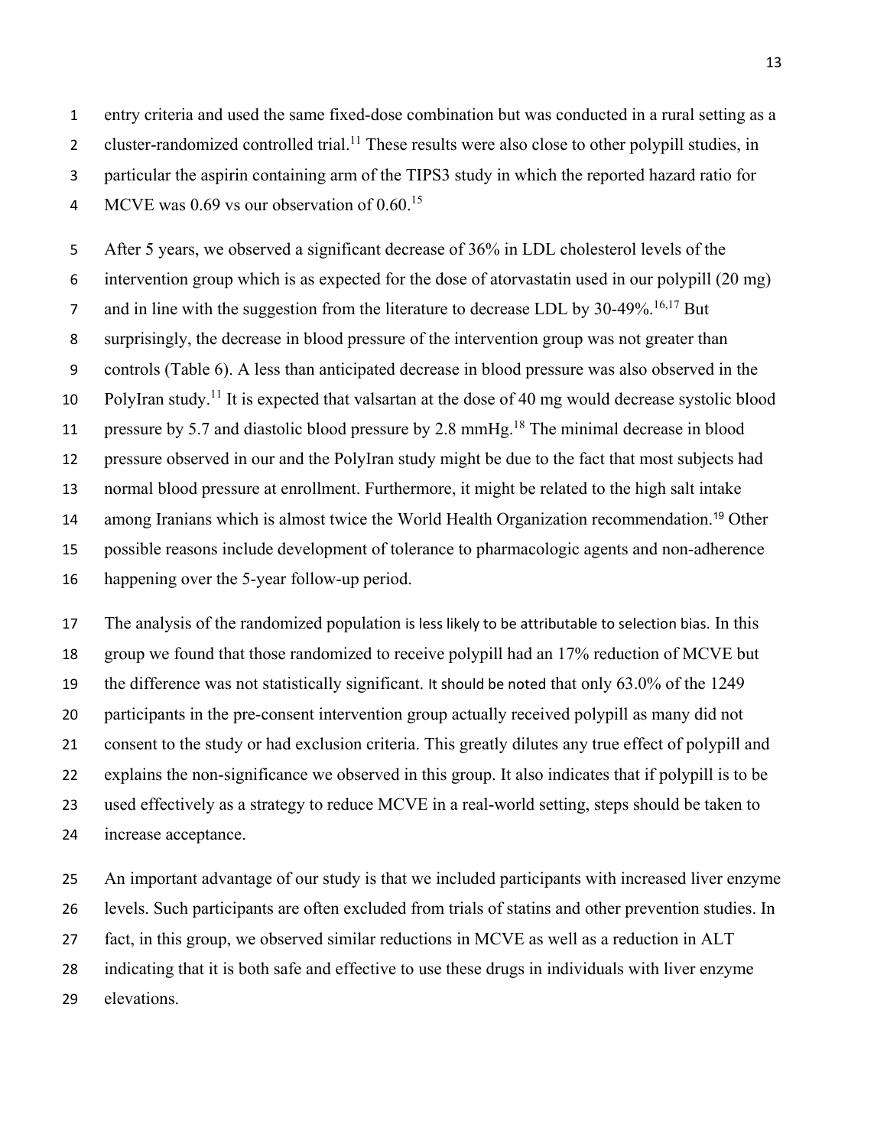entry criteria and used the same fixed-dose combination but was conducted in a rural setting as a 2 cluster-randomized controlled trial.<sup>11</sup> These results were also close to other polypill studies, in particular the aspirin containing arm of the TIPS3 study in which the reported hazard ratio for 4 MCVE was 0.69 vs our observation of 0.60.<sup>15</sup>

 After 5 years, we observed a significant decrease of 36% in LDL cholesterol levels of the intervention group which is as expected for the dose of atorvastatin used in our polypill (20 mg) 7 and in line with the suggestion from the literature to decrease LDL by 30-49%.<sup>16,17</sup> But surprisingly, the decrease in blood pressure of the intervention group was not greater than controls (Table 6). A less than anticipated decrease in blood pressure was also observed in the 10 PolyIran study.<sup>11</sup> It is expected that valsartan at the dose of 40 mg would decrease systolic blood 11 pressure by 5.7 and diastolic blood pressure by 2.8 mmHg.<sup>18</sup> The minimal decrease in blood pressure observed in our and the PolyIran study might be due to the fact that most subjects had normal blood pressure at enrollment. Furthermore, it might be related to the high salt intake 14 among Iranians which is almost twice the World Health Organization recommendation.<sup>19</sup> Other possible reasons include development of tolerance to pharmacologic agents and non-adherence happening over the 5-year follow-up period.

 The analysis of the randomized population is less likely to be attributable to selection bias. In this group we found that those randomized to receive polypill had an 17% reduction of MCVE but the difference was not statistically significant. It should be noted that only 63.0% of the 1249 participants in the pre-consent intervention group actually received polypill as many did not consent to the study or had exclusion criteria. This greatly dilutes any true effect of polypill and explains the non-significance we observed in this group. It also indicates that if polypill is to be used effectively as a strategy to reduce MCVE in a real-world setting, steps should be taken to increase acceptance.

 An important advantage of our study is that we included participants with increased liver enzyme levels. Such participants are often excluded from trials of statins and other prevention studies. In fact, in this group, we observed similar reductions in MCVE as well as a reduction in ALT indicating that it is both safe and effective to use these drugs in individuals with liver enzyme elevations.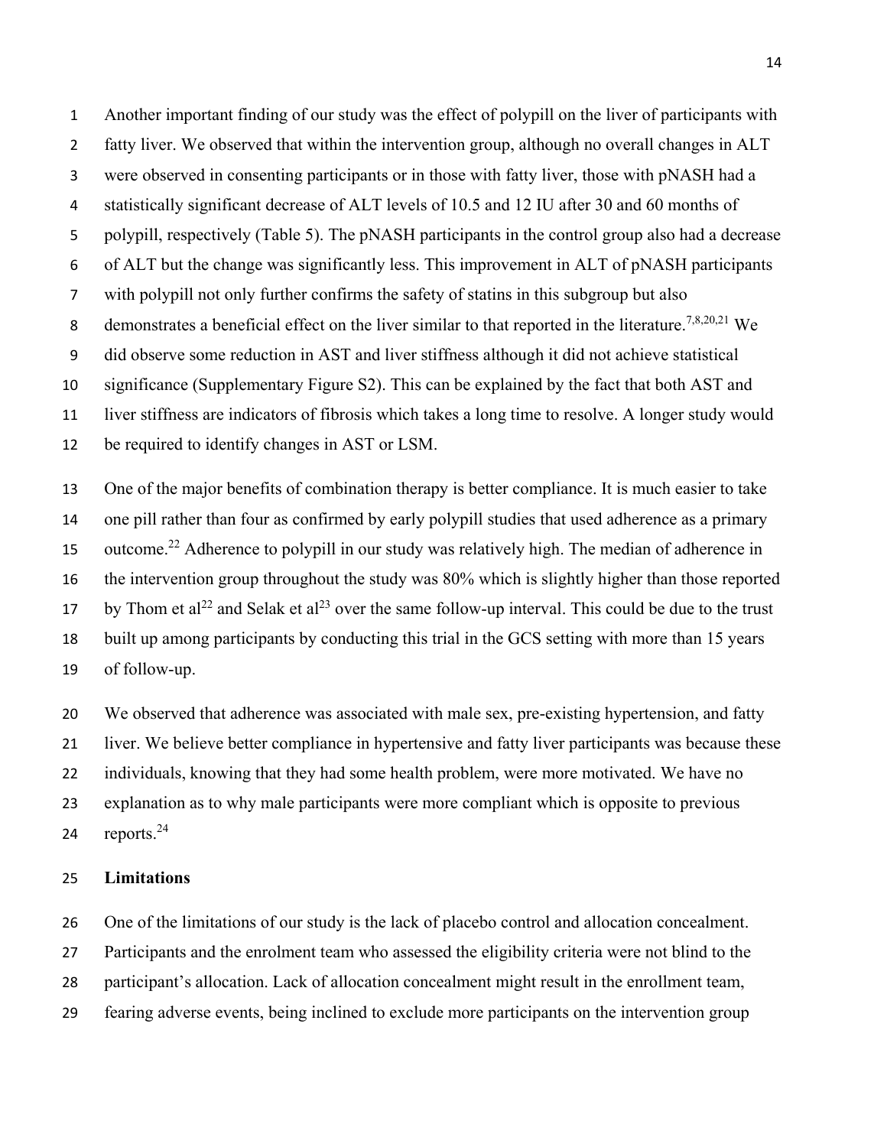Another important finding of our study was the effect of polypill on the liver of participants with fatty liver. We observed that within the intervention group, although no overall changes in ALT were observed in consenting participants or in those with fatty liver, those with pNASH had a statistically significant decrease of ALT levels of 10.5 and 12 IU after 30 and 60 months of polypill, respectively (Table 5). The pNASH participants in the control group also had a decrease of ALT but the change was significantly less. This improvement in ALT of pNASH participants with polypill not only further confirms the safety of statins in this subgroup but also 8 demonstrates a beneficial effect on the liver similar to that reported in the literature.<sup>7,8,20,21</sup> We did observe some reduction in AST and liver stiffness although it did not achieve statistical significance (Supplementary Figure S2). This can be explained by the fact that both AST and liver stiffness are indicators of fibrosis which takes a long time to resolve. A longer study would be required to identify changes in AST or LSM.

 One of the major benefits of combination therapy is better compliance. It is much easier to take one pill rather than four as confirmed by early polypill studies that used adherence as a primary 15 outcome.<sup>22</sup> Adherence to polypill in our study was relatively high. The median of adherence in the intervention group throughout the study was 80% which is slightly higher than those reported 17 by Thom et al<sup>22</sup> and Selak et al<sup>23</sup> over the same follow-up interval. This could be due to the trust built up among participants by conducting this trial in the GCS setting with more than 15 years of follow-up.

 We observed that adherence was associated with male sex, pre-existing hypertension, and fatty liver. We believe better compliance in hypertensive and fatty liver participants was because these individuals, knowing that they had some health problem, were more motivated. We have no explanation as to why male participants were more compliant which is opposite to previous 24 reports.

#### **Limitations**

 One of the limitations of our study is the lack of placebo control and allocation concealment. Participants and the enrolment team who assessed the eligibility criteria were not blind to the participant's allocation. Lack of allocation concealment might result in the enrollment team, fearing adverse events, being inclined to exclude more participants on the intervention group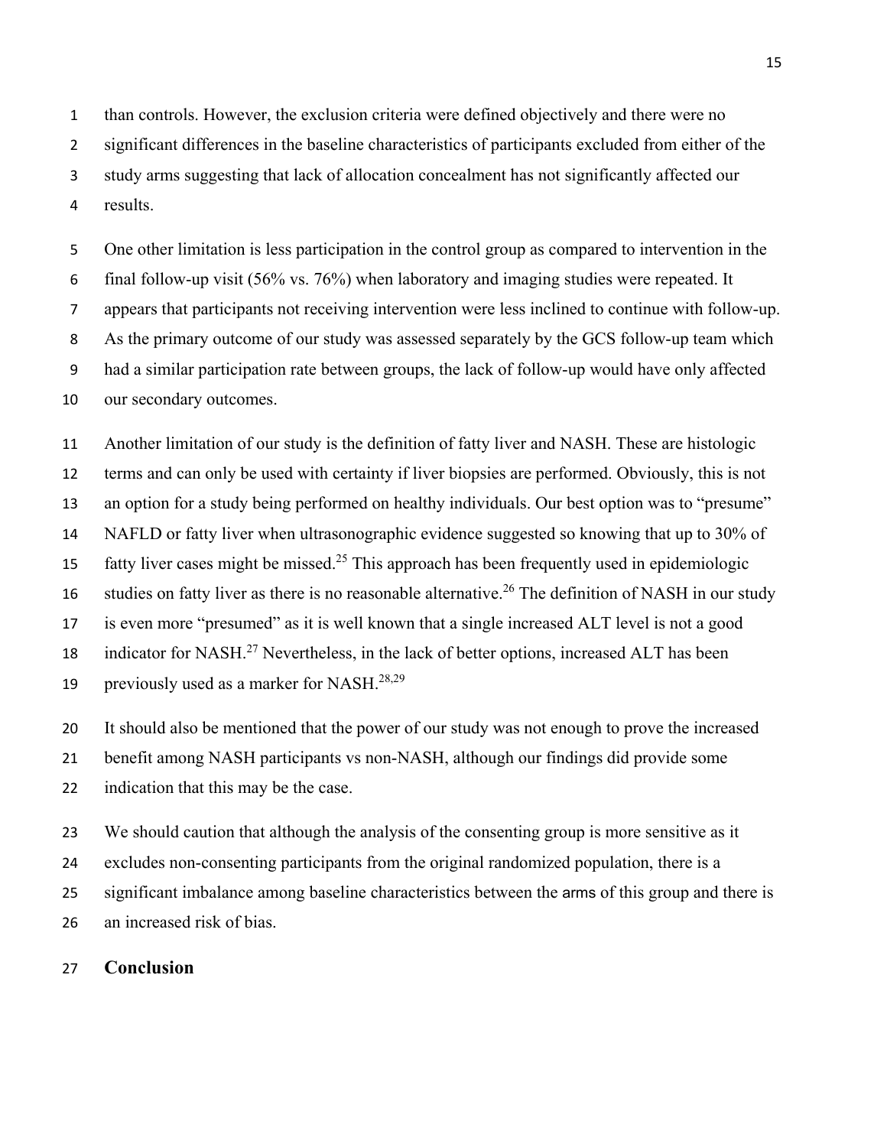than controls. However, the exclusion criteria were defined objectively and there were no significant differences in the baseline characteristics of participants excluded from either of the study arms suggesting that lack of allocation concealment has not significantly affected our results.

 One other limitation is less participation in the control group as compared to intervention in the final follow-up visit (56% vs. 76%) when laboratory and imaging studies were repeated. It appears that participants not receiving intervention were less inclined to continue with follow-up. As the primary outcome of our study was assessed separately by the GCS follow-up team which had a similar participation rate between groups, the lack of follow-up would have only affected our secondary outcomes.

 Another limitation of our study is the definition of fatty liver and NASH. These are histologic terms and can only be used with certainty if liver biopsies are performed. Obviously, this is not an option for a study being performed on healthy individuals. Our best option was to "presume" NAFLD or fatty liver when ultrasonographic evidence suggested so knowing that up to 30% of 15 fatty liver cases might be missed.<sup>25</sup> This approach has been frequently used in epidemiologic 16 studies on fatty liver as there is no reasonable alternative.<sup>26</sup> The definition of NASH in our study is even more "presumed" as it is well known that a single increased ALT level is not a good 18 indicator for NASH.<sup>27</sup> Nevertheless, in the lack of better options, increased ALT has been 19 previously used as a marker for NASH. $^{28,29}$ 

 It should also be mentioned that the power of our study was not enough to prove the increased benefit among NASH participants vs non-NASH, although our findings did provide some

indication that this may be the case.

 We should caution that although the analysis of the consenting group is more sensitive as it excludes non-consenting participants from the original randomized population, there is a significant imbalance among baseline characteristics between the arms of this group and there is

an increased risk of bias.

#### **Conclusion**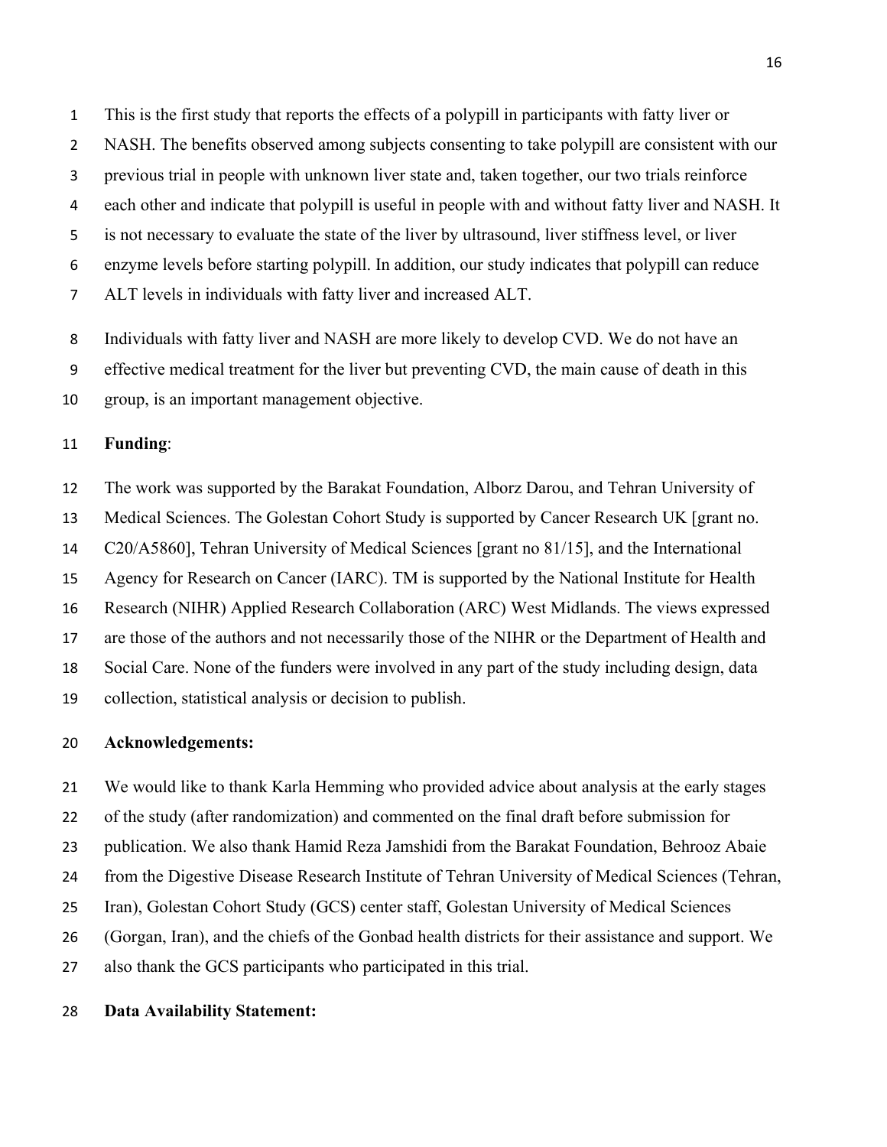This is the first study that reports the effects of a polypill in participants with fatty liver or NASH. The benefits observed among subjects consenting to take polypill are consistent with our previous trial in people with unknown liver state and, taken together, our two trials reinforce each other and indicate that polypill is useful in people with and without fatty liver and NASH. It is not necessary to evaluate the state of the liver by ultrasound, liver stiffness level, or liver enzyme levels before starting polypill. In addition, our study indicates that polypill can reduce ALT levels in individuals with fatty liver and increased ALT.

 Individuals with fatty liver and NASH are more likely to develop CVD. We do not have an effective medical treatment for the liver but preventing CVD, the main cause of death in this group, is an important management objective.

#### **Funding**:

 The work was supported by the Barakat Foundation, Alborz Darou, and Tehran University of Medical Sciences. The Golestan Cohort Study is supported by Cancer Research UK [grant no. C20/A5860], Tehran University of Medical Sciences [grant no 81/15], and the International Agency for Research on Cancer (IARC). TM is supported by the National Institute for Health Research (NIHR) Applied Research Collaboration (ARC) West Midlands. The views expressed are those of the authors and not necessarily those of the NIHR or the Department of Health and Social Care. None of the funders were involved in any part of the study including design, data collection, statistical analysis or decision to publish.

#### **Acknowledgements:**

 We would like to thank Karla Hemming who provided advice about analysis at the early stages of the study (after randomization) and commented on the final draft before submission for publication. We also thank Hamid Reza Jamshidi from the Barakat Foundation, Behrooz Abaie from the Digestive Disease Research Institute of Tehran University of Medical Sciences (Tehran, Iran), Golestan Cohort Study (GCS) center staff, Golestan University of Medical Sciences (Gorgan, Iran), and the chiefs of the Gonbad health districts for their assistance and support. We also thank the GCS participants who participated in this trial.

#### **Data Availability Statement:**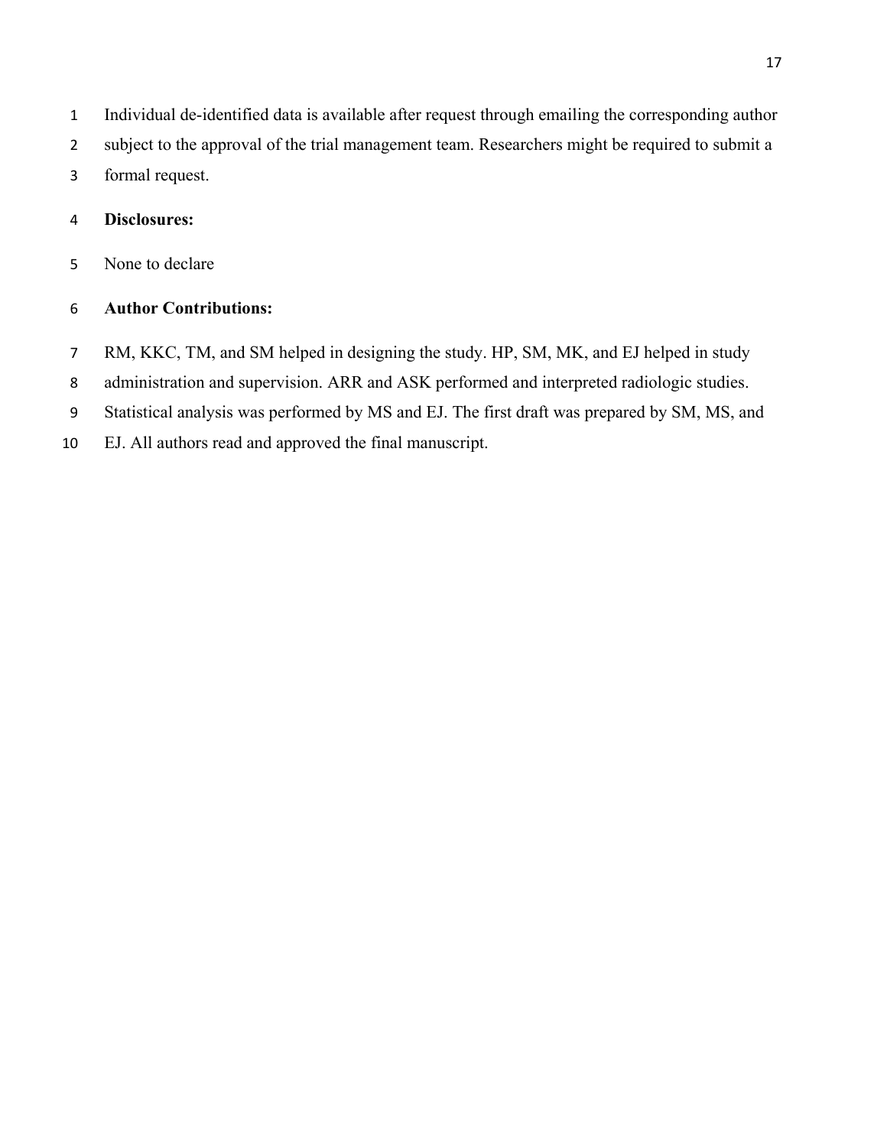- Individual de-identified data is available after request through emailing the corresponding author
- subject to the approval of the trial management team. Researchers might be required to submit a
- formal request.

#### **Disclosures:**

None to declare

#### **Author Contributions:**

- RM, KKC, TM, and SM helped in designing the study. HP, SM, MK, and EJ helped in study
- administration and supervision. ARR and ASK performed and interpreted radiologic studies.
- Statistical analysis was performed by MS and EJ. The first draft was prepared by SM, MS, and
- EJ. All authors read and approved the final manuscript.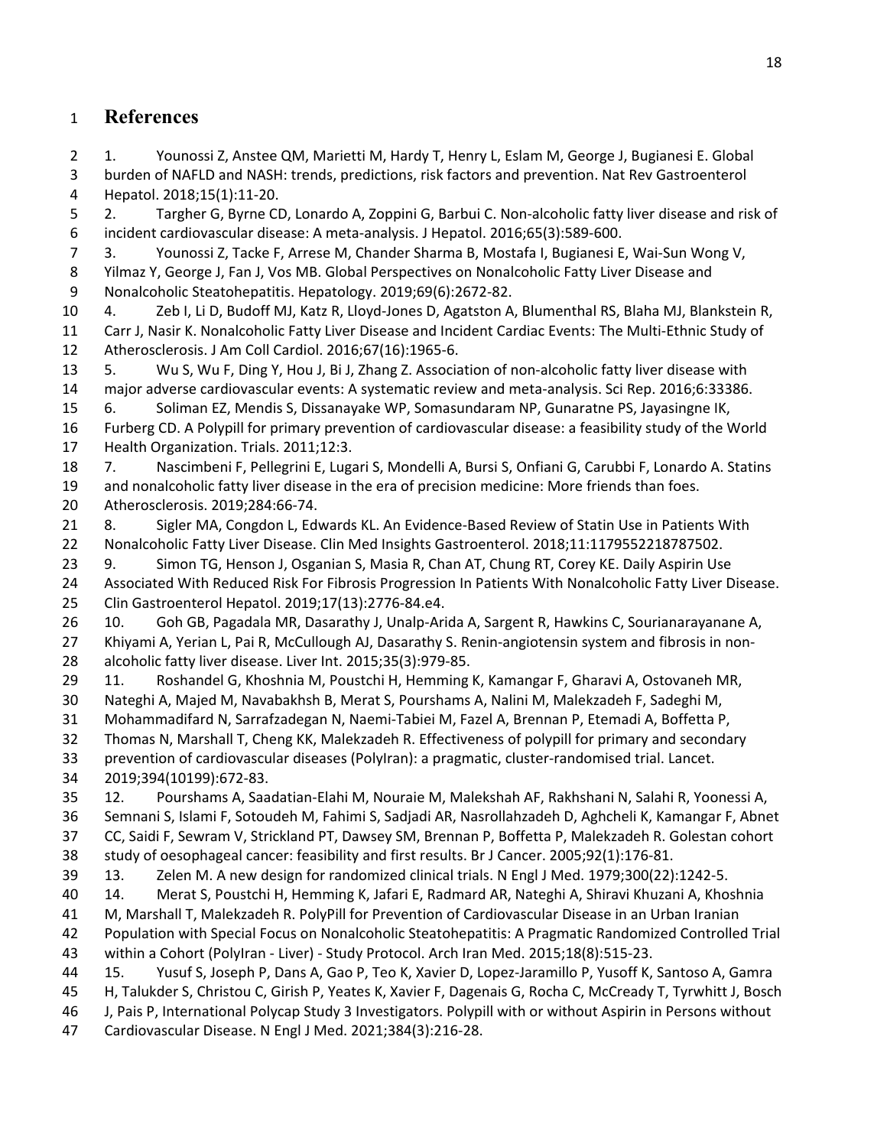## **References**

 1. Younossi Z, Anstee QM, Marietti M, Hardy T, Henry L, Eslam M, George J, Bugianesi E. Global burden of NAFLD and NASH: trends, predictions, risk factors and prevention. Nat Rev Gastroenterol Hepatol. 2018;15(1):11-20.

 2. Targher G, Byrne CD, Lonardo A, Zoppini G, Barbui C. Non-alcoholic fatty liver disease and risk of incident cardiovascular disease: A meta-analysis. J Hepatol. 2016;65(3):589-600.

 3. Younossi Z, Tacke F, Arrese M, Chander Sharma B, Mostafa I, Bugianesi E, Wai-Sun Wong V, Yilmaz Y, George J, Fan J, Vos MB. Global Perspectives on Nonalcoholic Fatty Liver Disease and Nonalcoholic Steatohepatitis. Hepatology. 2019;69(6):2672-82.

 4. Zeb I, Li D, Budoff MJ, Katz R, Lloyd-Jones D, Agatston A, Blumenthal RS, Blaha MJ, Blankstein R, Carr J, Nasir K. Nonalcoholic Fatty Liver Disease and Incident Cardiac Events: The Multi-Ethnic Study of Atherosclerosis. J Am Coll Cardiol. 2016;67(16):1965-6.

 5. Wu S, Wu F, Ding Y, Hou J, Bi J, Zhang Z. Association of non-alcoholic fatty liver disease with major adverse cardiovascular events: A systematic review and meta-analysis. Sci Rep. 2016;6:33386.

6. Soliman EZ, Mendis S, Dissanayake WP, Somasundaram NP, Gunaratne PS, Jayasingne IK,

 Furberg CD. A Polypill for primary prevention of cardiovascular disease: a feasibility study of the World Health Organization. Trials. 2011;12:3.

7. Nascimbeni F, Pellegrini E, Lugari S, Mondelli A, Bursi S, Onfiani G, Carubbi F, Lonardo A. Statins

and nonalcoholic fatty liver disease in the era of precision medicine: More friends than foes.

Atherosclerosis. 2019;284:66-74.

 8. Sigler MA, Congdon L, Edwards KL. An Evidence-Based Review of Statin Use in Patients With Nonalcoholic Fatty Liver Disease. Clin Med Insights Gastroenterol. 2018;11:1179552218787502.

23 9. Simon TG, Henson J, Osganian S, Masia R, Chan AT, Chung RT, Corey KE. Daily Aspirin Use Associated With Reduced Risk For Fibrosis Progression In Patients With Nonalcoholic Fatty Liver Disease.

Clin Gastroenterol Hepatol. 2019;17(13):2776-84.e4.

 10. Goh GB, Pagadala MR, Dasarathy J, Unalp-Arida A, Sargent R, Hawkins C, Sourianarayanane A, Khiyami A, Yerian L, Pai R, McCullough AJ, Dasarathy S. Renin-angiotensin system and fibrosis in non-alcoholic fatty liver disease. Liver Int. 2015;35(3):979-85.

11. Roshandel G, Khoshnia M, Poustchi H, Hemming K, Kamangar F, Gharavi A, Ostovaneh MR,

Nateghi A, Majed M, Navabakhsh B, Merat S, Pourshams A, Nalini M, Malekzadeh F, Sadeghi M,

Mohammadifard N, Sarrafzadegan N, Naemi-Tabiei M, Fazel A, Brennan P, Etemadi A, Boffetta P,

Thomas N, Marshall T, Cheng KK, Malekzadeh R. Effectiveness of polypill for primary and secondary

 prevention of cardiovascular diseases (PolyIran): a pragmatic, cluster-randomised trial. Lancet. 2019;394(10199):672-83.

 12. Pourshams A, Saadatian-Elahi M, Nouraie M, Malekshah AF, Rakhshani N, Salahi R, Yoonessi A, Semnani S, Islami F, Sotoudeh M, Fahimi S, Sadjadi AR, Nasrollahzadeh D, Aghcheli K, Kamangar F, Abnet CC, Saidi F, Sewram V, Strickland PT, Dawsey SM, Brennan P, Boffetta P, Malekzadeh R. Golestan cohort study of oesophageal cancer: feasibility and first results. Br J Cancer. 2005;92(1):176-81.

13. Zelen M. A new design for randomized clinical trials. N Engl J Med. 1979;300(22):1242-5.

14. Merat S, Poustchi H, Hemming K, Jafari E, Radmard AR, Nateghi A, Shiravi Khuzani A, Khoshnia

M, Marshall T, Malekzadeh R. PolyPill for Prevention of Cardiovascular Disease in an Urban Iranian

 Population with Special Focus on Nonalcoholic Steatohepatitis: A Pragmatic Randomized Controlled Trial within a Cohort (PolyIran - Liver) - Study Protocol. Arch Iran Med. 2015;18(8):515-23.

15. Yusuf S, Joseph P, Dans A, Gao P, Teo K, Xavier D, Lopez-Jaramillo P, Yusoff K, Santoso A, Gamra

H, Talukder S, Christou C, Girish P, Yeates K, Xavier F, Dagenais G, Rocha C, McCready T, Tyrwhitt J, Bosch

J, Pais P, International Polycap Study 3 Investigators. Polypill with or without Aspirin in Persons without

Cardiovascular Disease. N Engl J Med. 2021;384(3):216-28.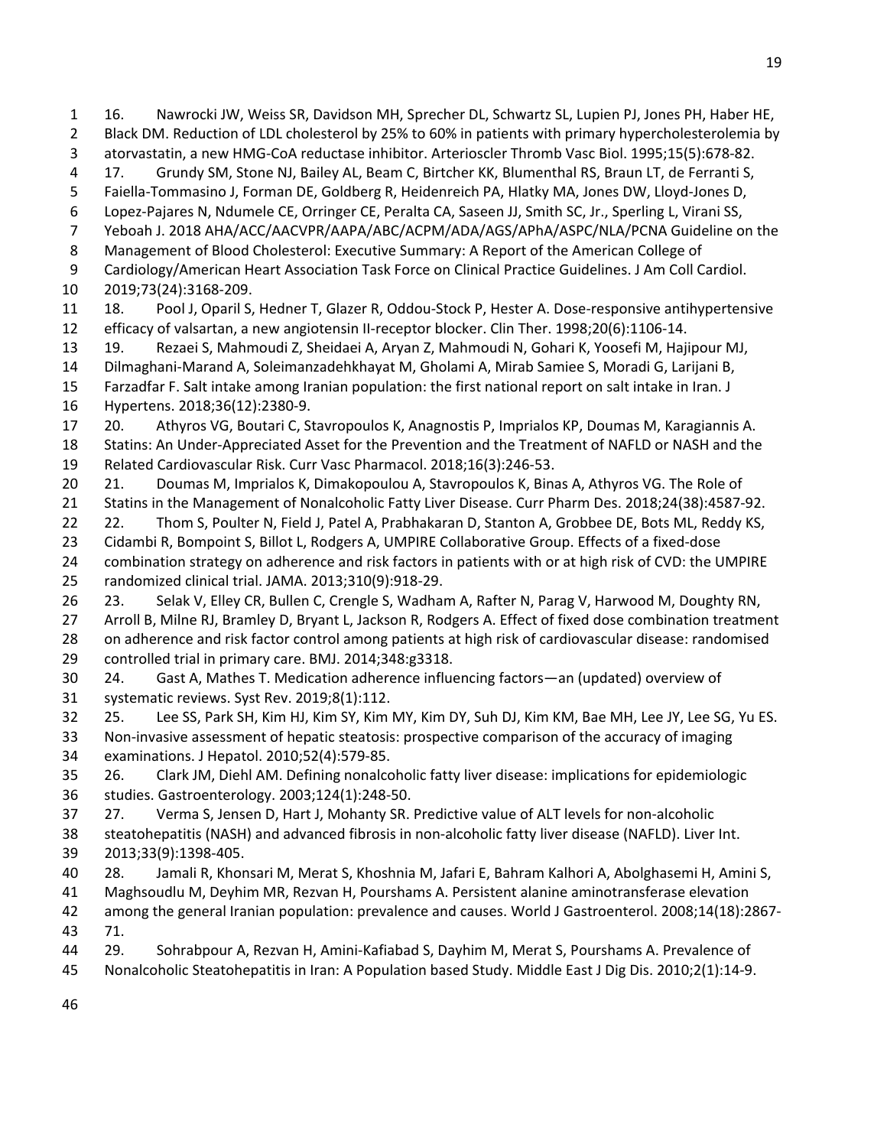Black DM. Reduction of LDL cholesterol by 25% to 60% in patients with primary hypercholesterolemia by atorvastatin, a new HMG-CoA reductase inhibitor. Arterioscler Thromb Vasc Biol. 1995;15(5):678-82. 17. Grundy SM, Stone NJ, Bailey AL, Beam C, Birtcher KK, Blumenthal RS, Braun LT, de Ferranti S, Faiella-Tommasino J, Forman DE, Goldberg R, Heidenreich PA, Hlatky MA, Jones DW, Lloyd-Jones D, Lopez-Pajares N, Ndumele CE, Orringer CE, Peralta CA, Saseen JJ, Smith SC, Jr., Sperling L, Virani SS, Yeboah J. 2018 AHA/ACC/AACVPR/AAPA/ABC/ACPM/ADA/AGS/APhA/ASPC/NLA/PCNA Guideline on the Management of Blood Cholesterol: Executive Summary: A Report of the American College of Cardiology/American Heart Association Task Force on Clinical Practice Guidelines. J Am Coll Cardiol. 2019;73(24):3168-209. 18. Pool J, Oparil S, Hedner T, Glazer R, Oddou-Stock P, Hester A. Dose-responsive antihypertensive efficacy of valsartan, a new angiotensin II-receptor blocker. Clin Ther. 1998;20(6):1106-14. 19. Rezaei S, Mahmoudi Z, Sheidaei A, Aryan Z, Mahmoudi N, Gohari K, Yoosefi M, Hajipour MJ, Dilmaghani-Marand A, Soleimanzadehkhayat M, Gholami A, Mirab Samiee S, Moradi G, Larijani B, Farzadfar F. Salt intake among Iranian population: the first national report on salt intake in Iran. J Hypertens. 2018;36(12):2380-9. 20. Athyros VG, Boutari C, Stavropoulos K, Anagnostis P, Imprialos KP, Doumas M, Karagiannis A. Statins: An Under-Appreciated Asset for the Prevention and the Treatment of NAFLD or NASH and the Related Cardiovascular Risk. Curr Vasc Pharmacol. 2018;16(3):246-53. 20 21. Doumas M, Imprialos K, Dimakopoulou A, Stavropoulos K, Binas A, Athyros VG. The Role of Statins in the Management of Nonalcoholic Fatty Liver Disease. Curr Pharm Des. 2018;24(38):4587-92.

16. Nawrocki JW, Weiss SR, Davidson MH, Sprecher DL, Schwartz SL, Lupien PJ, Jones PH, Haber HE,

22. Thom S, Poulter N, Field J, Patel A, Prabhakaran D, Stanton A, Grobbee DE, Bots ML, Reddy KS,

Cidambi R, Bompoint S, Billot L, Rodgers A, UMPIRE Collaborative Group. Effects of a fixed-dose

 combination strategy on adherence and risk factors in patients with or at high risk of CVD: the UMPIRE randomized clinical trial. JAMA. 2013;310(9):918-29.

 23. Selak V, Elley CR, Bullen C, Crengle S, Wadham A, Rafter N, Parag V, Harwood M, Doughty RN, Arroll B, Milne RJ, Bramley D, Bryant L, Jackson R, Rodgers A. Effect of fixed dose combination treatment on adherence and risk factor control among patients at high risk of cardiovascular disease: randomised controlled trial in primary care. BMJ. 2014;348:g3318.

 24. Gast A, Mathes T. Medication adherence influencing factors—an (updated) overview of systematic reviews. Syst Rev. 2019;8(1):112.

25. Lee SS, Park SH, Kim HJ, Kim SY, Kim MY, Kim DY, Suh DJ, Kim KM, Bae MH, Lee JY, Lee SG, Yu ES.

 Non-invasive assessment of hepatic steatosis: prospective comparison of the accuracy of imaging examinations. J Hepatol. 2010;52(4):579-85.

 26. Clark JM, Diehl AM. Defining nonalcoholic fatty liver disease: implications for epidemiologic studies. Gastroenterology. 2003;124(1):248-50.

27. Verma S, Jensen D, Hart J, Mohanty SR. Predictive value of ALT levels for non-alcoholic

 steatohepatitis (NASH) and advanced fibrosis in non-alcoholic fatty liver disease (NAFLD). Liver Int. 2013;33(9):1398-405.

28. Jamali R, Khonsari M, Merat S, Khoshnia M, Jafari E, Bahram Kalhori A, Abolghasemi H, Amini S,

Maghsoudlu M, Deyhim MR, Rezvan H, Pourshams A. Persistent alanine aminotransferase elevation

 among the general Iranian population: prevalence and causes. World J Gastroenterol. 2008;14(18):2867- 71.

29. Sohrabpour A, Rezvan H, Amini-Kafiabad S, Dayhim M, Merat S, Pourshams A. Prevalence of

Nonalcoholic Steatohepatitis in Iran: A Population based Study. Middle East J Dig Dis. 2010;2(1):14-9.